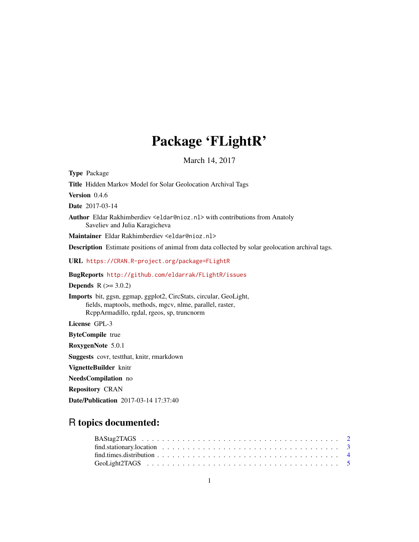# Package 'FLightR'

March 14, 2017

<span id="page-0-0"></span>Type Package Title Hidden Markov Model for Solar Geolocation Archival Tags Version 0.4.6 Date 2017-03-14 Author Eldar Rakhimberdiev <eldar@nioz.nl> with contributions from Anatoly Saveliev and Julia Karagicheva Maintainer Eldar Rakhimberdiev <eldar@nioz.nl> Description Estimate positions of animal from data collected by solar geolocation archival tags. URL <https://CRAN.R-project.org/package=FLightR> BugReports <http://github.com/eldarrak/FLightR/issues> **Depends**  $R (= 3.0.2)$ Imports bit, ggsn, ggmap, ggplot2, CircStats, circular, GeoLight, fields, maptools, methods, mgcv, nlme, parallel, raster, RcppArmadillo, rgdal, rgeos, sp, truncnorm License GPL-3 ByteCompile true RoxygenNote 5.0.1 Suggests covr, testthat, knitr, rmarkdown VignetteBuilder knitr NeedsCompilation no Repository CRAN Date/Publication 2017-03-14 17:37:40

# R topics documented: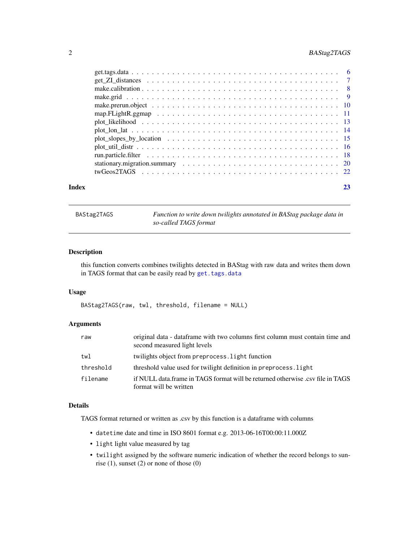# <span id="page-1-0"></span>2 BAStag2TAGS

<span id="page-1-1"></span>BAStag2TAGS *Function to write down twilights annotated in BAStag package data in so-called TAGS format*

# Description

this function converts combines twilights detected in BAStag with raw data and writes them down in TAGS format that can be easily read by [get.tags.data](#page-5-1)

# Usage

BAStag2TAGS(raw, twl, threshold, filename = NULL)

# Arguments

| raw       | original data - dataframe with two columns first column must contain time and<br>second measured light levels |
|-----------|---------------------------------------------------------------------------------------------------------------|
| twl       | twilights object from preprocess. Light function                                                              |
| threshold | threshold value used for twilight definition in preprocess. light                                             |
| filename  | if NULL data.frame in TAGS format will be returned otherwise .csv file in TAGS<br>format will be written      |

# Details

TAGS format returned or written as .csv by this function is a dataframe with columns

- datetime date and time in ISO 8601 format e.g. 2013-06-16T00:00:11.000Z
- light light value measured by tag
- twilight assigned by the software numeric indication of whether the record belongs to sunrise  $(1)$ , sunset  $(2)$  or none of those  $(0)$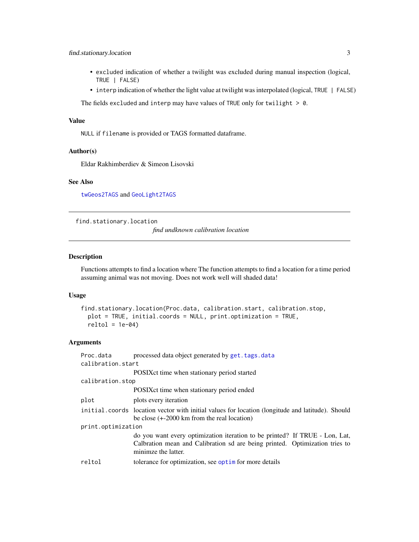# <span id="page-2-0"></span>find.stationary.location 3

- excluded indication of whether a twilight was excluded during manual inspection (logical, TRUE | FALSE)
- interp indication of whether the light value at twilight was interpolated (logical, TRUE | FALSE)

The fields excluded and interp may have values of TRUE only for twilight  $> 0$ .

# Value

NULL if filename is provided or TAGS formatted dataframe.

# Author(s)

Eldar Rakhimberdiev & Simeon Lisovski

# See Also

[twGeos2TAGS](#page-21-1) and [GeoLight2TAGS](#page-4-1)

find.stationary.location

*find undknown calibration location*

# Description

Functions attempts to find a location where The function attempts to find a location for a time period assuming animal was not moving. Does not work well will shaded data!

# Usage

```
find.stationary.location(Proc.data, calibration.start, calibration.stop,
 plot = TRUE, initial.coords = NULL, print.optimization = TRUE,
 reltol = 1e-04
```

| Proc.data<br>calibration.start | processed data object generated by get. tags. data                                                                                                                                |
|--------------------------------|-----------------------------------------------------------------------------------------------------------------------------------------------------------------------------------|
|                                | POSIX ct time when stationary period started                                                                                                                                      |
| calibration.stop               |                                                                                                                                                                                   |
|                                | POSIX ct time when stationary period ended                                                                                                                                        |
| plot                           | plots every iteration                                                                                                                                                             |
|                                | initial coords location vector with initial values for location (longitude and latitude). Should<br>be close $(+2000 \text{ km from the real location})$                          |
| print.optimization             |                                                                                                                                                                                   |
|                                | do you want every optimization iteration to be printed? If TRUE - Lon, Lat,<br>Calbration mean and Calibration sd are being printed. Optimization tries to<br>minimze the latter. |
| reltol                         | tolerance for optimization, see optim for more details                                                                                                                            |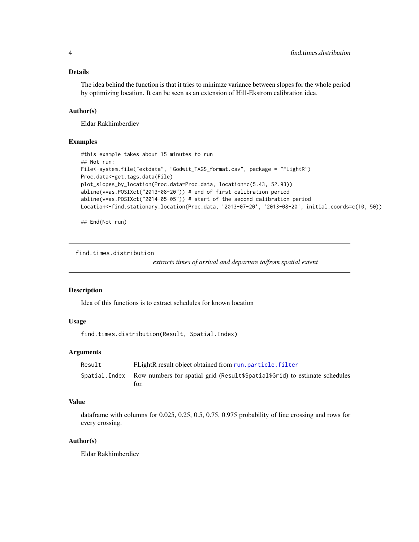# <span id="page-3-0"></span>Details

The idea behind the function is that it tries to minimze variance between slopes for the whole period by optimizing location. It can be seen as an extension of Hill-Ekstrom calibration idea.

# Author(s)

Eldar Rakhimberdiev

# Examples

```
#this example takes about 15 minutes to run
## Not run:
File<-system.file("extdata", "Godwit_TAGS_format.csv", package = "FLightR")
Proc.data<-get.tags.data(File)
plot_slopes_by_location(Proc.data=Proc.data, location=c(5.43, 52.93))
abline(v=as.POSIXct("2013-08-20")) # end of first calibration period
abline(v=as.POSIXct("2014-05-05")) # start of the second calibration period
Location<-find.stationary.location(Proc.data, '2013-07-20', '2013-08-20', initial.coords=c(10, 50))
```
## End(Not run)

find.times.distribution

*extracts times of arrival and departure to/from spatial extent*

# Description

Idea of this functions is to extract schedules for known location

# Usage

```
find.times.distribution(Result, Spatial.Index)
```
# Arguments

| Result | FLightR result object obtained from run.particle.filter                                             |
|--------|-----------------------------------------------------------------------------------------------------|
|        | Spatial. Index Row numbers for spatial grid (Result \$Spatial \$Grid) to estimate schedules<br>for. |

# Value

dataframe with columns for 0.025, 0.25, 0.5, 0.75, 0.975 probability of line crossing and rows for every crossing.

# Author(s)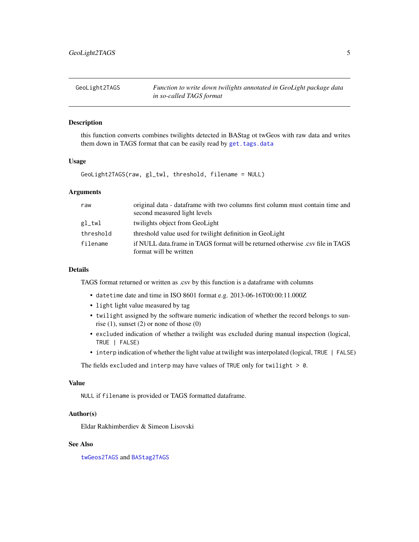<span id="page-4-1"></span><span id="page-4-0"></span>GeoLight2TAGS *Function to write down twilights annotated in GeoLight package data in so-called TAGS format*

# Description

this function converts combines twilights detected in BAStag ot twGeos with raw data and writes them down in TAGS format that can be easily read by [get.tags.data](#page-5-1)

# Usage

GeoLight2TAGS(raw, gl\_twl, threshold, filename = NULL)

# Arguments

| raw       | original data - dataframe with two columns first column must contain time and  |
|-----------|--------------------------------------------------------------------------------|
|           | second measured light levels                                                   |
| $gl_twl$  | twilights object from GeoLight                                                 |
| threshold | threshold value used for twilight definition in GeoLight                       |
| filename  | if NULL data frame in TAGS format will be returned otherwise .csy file in TAGS |
|           | format will be written                                                         |

# Details

TAGS format returned or written as .csv by this function is a dataframe with columns

- datetime date and time in ISO 8601 format e.g. 2013-06-16T00:00:11.000Z
- light light value measured by tag
- twilight assigned by the software numeric indication of whether the record belongs to sunrise  $(1)$ , sunset  $(2)$  or none of those  $(0)$
- excluded indication of whether a twilight was excluded during manual inspection (logical, TRUE | FALSE)
- interp indication of whether the light value at twilight was interpolated (logical, TRUE | FALSE)

The fields excluded and interp may have values of TRUE only for twilight  $> 0$ .

# Value

NULL if filename is provided or TAGS formatted dataframe.

# Author(s)

Eldar Rakhimberdiev & Simeon Lisovski

# See Also

[twGeos2TAGS](#page-21-1) and [BAStag2TAGS](#page-1-1)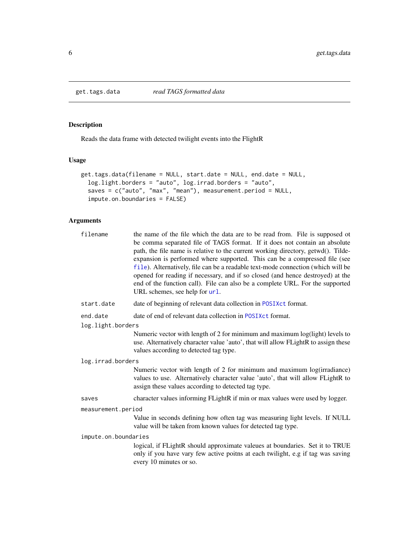<span id="page-5-1"></span><span id="page-5-0"></span>

# Description

Reads the data frame with detected twilight events into the FlightR

# Usage

```
get.tags.data(filename = NULL, start.date = NULL, end.date = NULL,
 log.light.borders = "auto", log.irrad.borders = "auto",
 saves = c("auto", "max", "mean"), measurement.period = NULL,
  impute.on.boundaries = FALSE)
```

| filename             | the name of the file which the data are to be read from. File is supposed ot<br>be comma separated file of TAGS format. If it does not contain an absolute<br>path, the file name is relative to the current working directory, getwd(). Tilde-<br>expansion is performed where supported. This can be a compressed file (see<br>file). Alternatively, file can be a readable text-mode connection (which will be<br>opened for reading if necessary, and if so closed (and hence destroyed) at the<br>end of the function call). File can also be a complete URL. For the supported<br>URL schemes, see help for url. |  |  |  |  |  |
|----------------------|------------------------------------------------------------------------------------------------------------------------------------------------------------------------------------------------------------------------------------------------------------------------------------------------------------------------------------------------------------------------------------------------------------------------------------------------------------------------------------------------------------------------------------------------------------------------------------------------------------------------|--|--|--|--|--|
| start.date           | date of beginning of relevant data collection in POSIXct format.                                                                                                                                                                                                                                                                                                                                                                                                                                                                                                                                                       |  |  |  |  |  |
| end.date             | date of end of relevant data collection in POSIXct format.                                                                                                                                                                                                                                                                                                                                                                                                                                                                                                                                                             |  |  |  |  |  |
| log.light.borders    |                                                                                                                                                                                                                                                                                                                                                                                                                                                                                                                                                                                                                        |  |  |  |  |  |
|                      | Numeric vector with length of 2 for minimum and maximum log(light) levels to<br>use. Alternatively character value 'auto', that will allow FLightR to assign these<br>values according to detected tag type.                                                                                                                                                                                                                                                                                                                                                                                                           |  |  |  |  |  |
| log.irrad.borders    |                                                                                                                                                                                                                                                                                                                                                                                                                                                                                                                                                                                                                        |  |  |  |  |  |
|                      | Numeric vector with length of 2 for minimum and maximum log(irradiance)<br>values to use. Alternatively character value 'auto', that will allow FLightR to<br>assign these values according to detected tag type.                                                                                                                                                                                                                                                                                                                                                                                                      |  |  |  |  |  |
| saves                | character values informing FLightR if min or max values were used by logger.                                                                                                                                                                                                                                                                                                                                                                                                                                                                                                                                           |  |  |  |  |  |
| measurement.period   |                                                                                                                                                                                                                                                                                                                                                                                                                                                                                                                                                                                                                        |  |  |  |  |  |
|                      | Value in seconds defining how often tag was measuring light levels. If NULL<br>value will be taken from known values for detected tag type.                                                                                                                                                                                                                                                                                                                                                                                                                                                                            |  |  |  |  |  |
| impute.on.boundaries |                                                                                                                                                                                                                                                                                                                                                                                                                                                                                                                                                                                                                        |  |  |  |  |  |
|                      | logical, if FLightR should approximate valeues at boundaries. Set it to TRUE<br>only if you have vary few active poitns at each twilight, e.g if tag was saving<br>every 10 minutes or so.                                                                                                                                                                                                                                                                                                                                                                                                                             |  |  |  |  |  |
|                      |                                                                                                                                                                                                                                                                                                                                                                                                                                                                                                                                                                                                                        |  |  |  |  |  |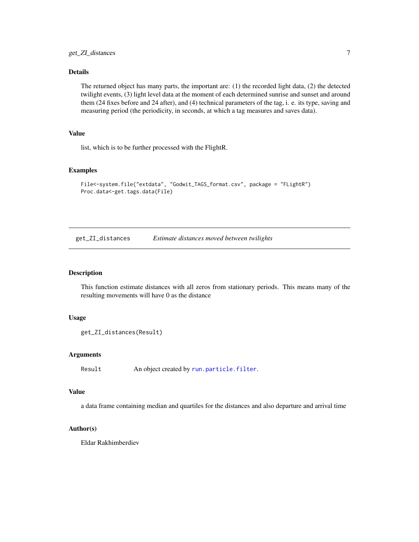# <span id="page-6-0"></span>Details

The returned object has many parts, the important are: (1) the recorded light data, (2) the detected twilight events, (3) light level data at the moment of each determined sunrise and sunset and around them (24 fixes before and 24 after), and (4) technical parameters of the tag, i. e. its type, saving and measuring period (the periodicity, in seconds, at which a tag measures and saves data).

# Value

list, which is to be further processed with the FlightR.

# Examples

```
File<-system.file("extdata", "Godwit_TAGS_format.csv", package = "FLightR")
Proc.data<-get.tags.data(File)
```
get\_ZI\_distances *Estimate distances moved between twilights*

### Description

This function estimate distances with all zeros from stationary periods. This means many of the resulting movements will have 0 as the distance

# Usage

```
get_ZI_distances(Result)
```
# Arguments

Result An object created by [run.particle.filter](#page-17-1).

# Value

a data frame containing median and quartiles for the distances and also departure and arrival time

# Author(s)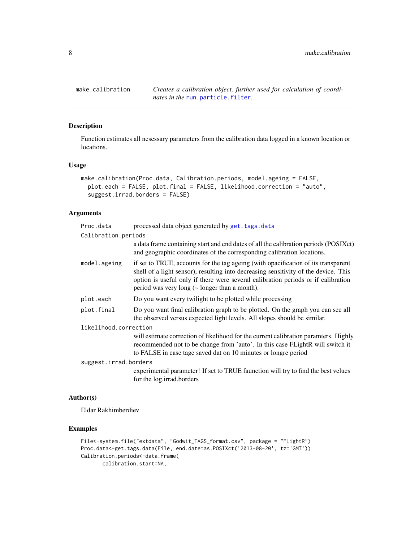<span id="page-7-1"></span><span id="page-7-0"></span>make.calibration *Creates a calibration object, further used for calculation of coordinates in the* [run.particle.filter](#page-17-1)*.*

# Description

Function estimates all nesessary parameters from the calibration data logged in a known location or locations.

# Usage

```
make.calibration(Proc.data, Calibration.periods, model.ageing = FALSE,
 plot.each = FALSE, plot.final = FALSE, likelihood.correction = "auto",
  suggest.irrad.borders = FALSE)
```
# Arguments

| Proc.data             | processed data object generated by get. tags. data                                                                                                                                                                                                                                                                   |
|-----------------------|----------------------------------------------------------------------------------------------------------------------------------------------------------------------------------------------------------------------------------------------------------------------------------------------------------------------|
| Calibration.periods   |                                                                                                                                                                                                                                                                                                                      |
|                       | a data frame containing start and end dates of all the calibration periods (POSIXct)<br>and geographic coordinates of the corresponding calibration locations.                                                                                                                                                       |
| model.ageing          | if set to TRUE, accounts for the tag ageing (with opacification of its transparent<br>shell of a light sensor), resulting into decreasing sensitivity of the device. This<br>option is useful only if there were several calibration periods or if calibration<br>period was very long $(\sim$ longer than a month). |
| plot.each             | Do you want every twilight to be plotted while processing                                                                                                                                                                                                                                                            |
| plot.final            | Do you want final calibration graph to be plotted. On the graph you can see all<br>the observed versus expected light levels. All slopes should be similar.                                                                                                                                                          |
| likelihood.correction |                                                                                                                                                                                                                                                                                                                      |
|                       | will estimate correction of likelihood for the current calibration paramters. Highly<br>recommended not to be change from 'auto'. In this case FLightR will switch it<br>to FALSE in case tage saved dat on 10 minutes or longre period                                                                              |
| suggest.irrad.borders |                                                                                                                                                                                                                                                                                                                      |
|                       | experimental parameter! If set to TRUE faunction will try to find the best velues<br>for the log.irrad.borders                                                                                                                                                                                                       |

#### Author(s)

Eldar Rakhimberdiev

# Examples

```
File<-system.file("extdata", "Godwit_TAGS_format.csv", package = "FLightR")
Proc.data<-get.tags.data(File, end.date=as.POSIXct('2013-08-20', tz='GMT'))
Calibration.periods<-data.frame(
      calibration.start=NA,
```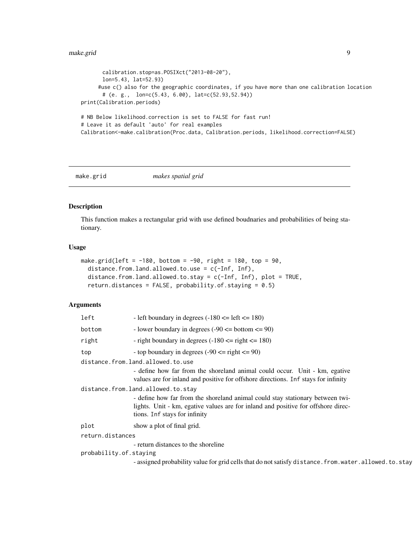```
calibration.stop=as.POSIXct("2013-08-20"),
       lon=5.43, lat=52.93)
     #use c() also for the geographic coordinates, if you have more than one calibration location
       # (e. g., lon=c(5.43, 6.00), lat=c(52.93,52.94))
print(Calibration.periods)
# NB Below likelihood.correction is set to FALSE for fast run!
# Leave it as default 'auto' for real examples
Calibration<-make.calibration(Proc.data, Calibration.periods, likelihood.correction=FALSE)
```
<span id="page-8-1"></span>make.grid *makes spatial grid*

# Description

This function makes a rectangular grid with use defined boudnaries and probabilities of being stationary.

# Usage

```
make.grid(left = -180, bottom = -90, right = 180, top = 90,
  distance.from.land.allowed.to.use = c(-Inf, Inf),
  distance.from.land.allowed.to.stay = c(-Inf, Inf), plot = TRUE,
  return.distances = FALSE, probability.of.staying = 0.5)
```

| left                   | - left boundary in degrees $(-180 \leq \text{left} \leq 180)$                                                                                                    |  |  |  |  |
|------------------------|------------------------------------------------------------------------------------------------------------------------------------------------------------------|--|--|--|--|
| bottom                 | - lower boundary in degrees $(-90 \leq bottom \leq 90)$                                                                                                          |  |  |  |  |
| right                  | - right boundary in degrees $(-180 \le$ right $\le$ 180)                                                                                                         |  |  |  |  |
| top                    | - top boundary in degrees $(-90 \le$ right $\le$ 90)                                                                                                             |  |  |  |  |
|                        | distance.from.land.allowed.to.use                                                                                                                                |  |  |  |  |
|                        | - define how far from the shoreland animal could occur. Unit - km, egative<br>values are for inland and positive for offshore directions. Inf stays for infinity |  |  |  |  |
|                        | distance.from.land.allowed.to.stay                                                                                                                               |  |  |  |  |
|                        | - define how far from the shoreland animal could stay stationary between twi-                                                                                    |  |  |  |  |
|                        | lights. Unit - km, egative values are for inland and positive for offshore direc-                                                                                |  |  |  |  |
|                        | tions. Inf stays for infinity                                                                                                                                    |  |  |  |  |
| plot                   | show a plot of final grid.                                                                                                                                       |  |  |  |  |
| return.distances       |                                                                                                                                                                  |  |  |  |  |
|                        | - return distances to the shoreline                                                                                                                              |  |  |  |  |
| probability.of.staying |                                                                                                                                                                  |  |  |  |  |
|                        | - assigned probability value for grid cells that do not satisfy distance. from. water. allowed. to. stay                                                         |  |  |  |  |
|                        |                                                                                                                                                                  |  |  |  |  |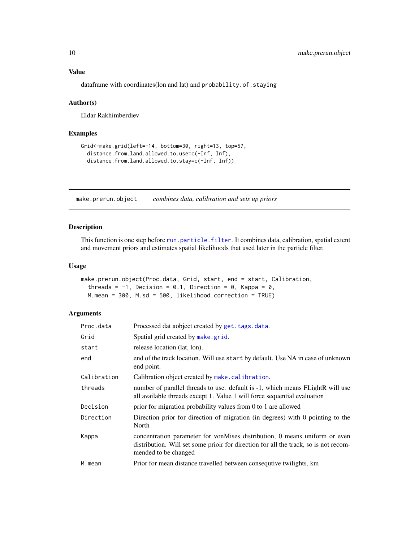Value

dataframe with coordinates(lon and lat) and probability.of.staying

# Author(s)

Eldar Rakhimberdiev

# Examples

```
Grid<-make.grid(left=-14, bottom=30, right=13, top=57,
  distance.from.land.allowed.to.use=c(-Inf, Inf),
  distance.from.land.allowed.to.stay=c(-Inf, Inf))
```
<span id="page-9-1"></span>make.prerun.object *combines data, calibration and sets up priors*

# Description

This function is one step before [run.particle.filter](#page-17-1). It combines data, calibration, spatial extent and movement priors and estimates spatial likelihoods that used later in the particle filter.

# Usage

```
make.prerun.object(Proc.data, Grid, start, end = start, Calibration,
  threads = -1, Decision = 0.1, Direction = 0, Kappa = 0,
 M.mean = 300, M.sd = 500, likelihood.correction = TRUE)
```

| Proc.data   | Processed dat aobject created by get. tags. data.                                                                                                                                          |
|-------------|--------------------------------------------------------------------------------------------------------------------------------------------------------------------------------------------|
| Grid        | Spatial grid created by make grid.                                                                                                                                                         |
| start       | release location (lat, lon).                                                                                                                                                               |
| end         | end of the track location. Will use start by default. Use NA in case of unknown<br>end point.                                                                                              |
| Calibration | Calibration object created by make.calibration.                                                                                                                                            |
| threads     | number of parallel threads to use. default is -1, which means FLightR will use<br>all available threads except 1. Value 1 will force sequential evaluation                                 |
| Decision    | prior for migration probability values from 0 to 1 are allowed                                                                                                                             |
| Direction   | Direction prior for direction of migration (in degrees) with 0 pointing to the<br>North                                                                                                    |
| Kappa       | concentration parameter for von Mises distribution, 0 means uniform or even<br>distribution. Will set some prior for direction for all the track, so is not recom-<br>mended to be changed |
| M.mean      | Prior for mean distance travelled between consequive twilights, km                                                                                                                         |

<span id="page-9-0"></span>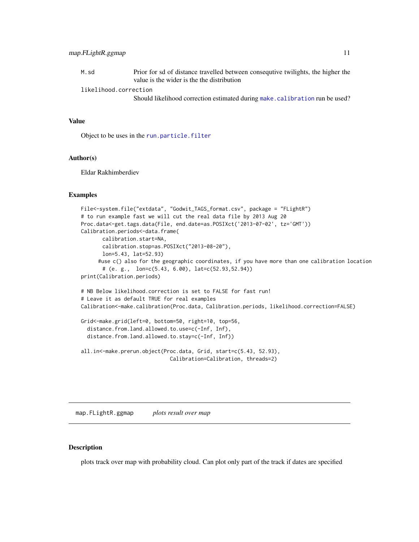<span id="page-10-0"></span>M.sd Prior for sd of distance travelled between consequtive twilights, the higher the value is the wider is the the distribution

likelihood.correction

Should likelihood correction estimated during [make.calibration](#page-7-1) run be used?

# Value

Object to be uses in the [run.particle.filter](#page-17-1)

# Author(s)

Eldar Rakhimberdiev

# Examples

```
File<-system.file("extdata", "Godwit_TAGS_format.csv", package = "FLightR")
# to run example fast we will cut the real data file by 2013 Aug 20
Proc.data<-get.tags.data(File, end.date=as.POSIXct('2013-07-02', tz='GMT'))
Calibration.periods<-data.frame(
      calibration.start=NA,
      calibration.stop=as.POSIXct("2013-08-20"),
      lon=5.43, lat=52.93)
     #use c() also for the geographic coordinates, if you have more than one calibration location
      # (e. g., lon=c(5.43, 6.00), lat=c(52.93,52.94))
print(Calibration.periods)
# NB Below likelihood.correction is set to FALSE for fast run!
# Leave it as default TRUE for real examples
Calibration<-make.calibration(Proc.data, Calibration.periods, likelihood.correction=FALSE)
Grid<-make.grid(left=0, bottom=50, right=10, top=56,
 distance.from.land.allowed.to.use=c(-Inf, Inf),
 distance.from.land.allowed.to.stay=c(-Inf, Inf))
all.in<-make.prerun.object(Proc.data, Grid, start=c(5.43, 52.93),
                             Calibration=Calibration, threads=2)
```
map.FLightR.ggmap *plots result over map*

# Description

plots track over map with probability cloud. Can plot only part of the track if dates are specified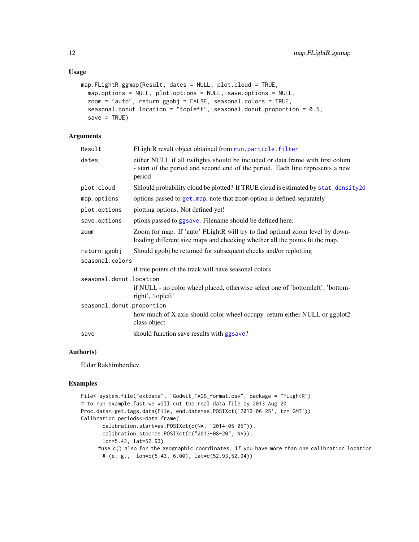```
map.FLightR.ggmap(Result, dates = NULL, plot.cloud = TRUE,
 map.options = NULL, plot.options = NULL, save.options = NULL,
  zoom = "auto", return.ggobj = FALSE, seasonal.colors = TRUE,
  seasonal.donut.location = "topleft", seasonal.donut.proportion = 0.5,
  save = TRUE)
```
# Arguments

| Result                    | FLightR result object obtained from run.particle.filter                                                                                                                    |
|---------------------------|----------------------------------------------------------------------------------------------------------------------------------------------------------------------------|
| dates                     | either NULL if all twilights should be included or data.frame with first colum<br>- start of the period and second end of the period. Each line represents a new<br>period |
| plot.cloud                | Shlould probability cloud be plotted? If TRUE cloud is estimated by stat_density2d                                                                                         |
| map.options               | options passed to get_map, note that zoom option is defined separately                                                                                                     |
| plot.options              | plotting options. Not defined yet!                                                                                                                                         |
| save.options              | ptions passed to ggsave. Filename should be defined here.                                                                                                                  |
| zoom                      | Zoom for map. If 'auto' FLightR will try to find optimal zoom level by down-<br>loading different size maps and checking whether all the points fit the map.               |
| return.ggobj              | Should ggobj be returned for subsequent checks and/or replotting                                                                                                           |
| seasonal.colors           |                                                                                                                                                                            |
|                           | if true points of the track will have seasonal colors                                                                                                                      |
| seasonal.donut.location   |                                                                                                                                                                            |
|                           | if NULL - no color wheel placed, otherwise select one of 'bottomleft', 'bottom-<br>right', 'topleft'                                                                       |
| seasonal.donut.proportion |                                                                                                                                                                            |
|                           | how much of X axis should color wheel occupy. return either NULL or ggplot2<br>class object                                                                                |
| save                      | should function save results with ggsave?                                                                                                                                  |
|                           |                                                                                                                                                                            |

# Author(s)

Eldar Rakhimberdiev

# Examples

```
File<-system.file("extdata", "Godwit_TAGS_format.csv", package = "FLightR")
# to run example fast we will cut the real data file by 2013 Aug 20
Proc.data<-get.tags.data(File, end.date=as.POSIXct('2013-06-25', tz='GMT'))
Calibration.periods<-data.frame(
       calibration.start=as.POSIXct(c(NA, "2014-05-05")),
       calibration.stop=as.POSIXct(c("2013-08-20", NA)),
       lon=5.43, lat=52.93)
     #use c() also for the geographic coordinates, if you have more than one calibration location
       # (e. g., lon=c(5.43, 6.00), lat=c(52.93,52.94))
```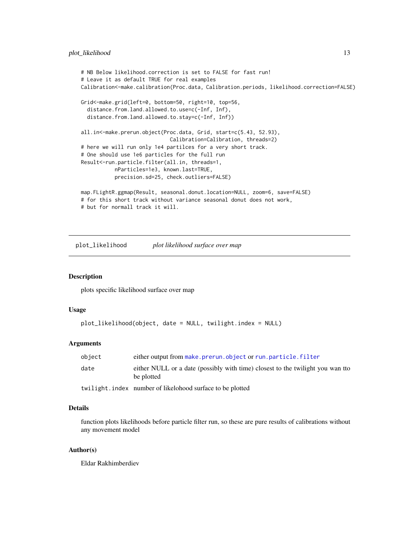# <span id="page-12-0"></span>plot\_likelihood 13

```
# NB Below likelihood.correction is set to FALSE for fast run!
# Leave it as default TRUE for real examples
Calibration<-make.calibration(Proc.data, Calibration.periods, likelihood.correction=FALSE)
Grid<-make.grid(left=0, bottom=50, right=10, top=56,
  distance.from.land.allowed.to.use=c(-Inf, Inf),
  distance.from.land.allowed.to.stay=c(-Inf, Inf))
all.in<-make.prerun.object(Proc.data, Grid, start=c(5.43, 52.93),
                             Calibration=Calibration, threads=2)
# here we will run only 1e4 partilces for a very short track.
# One should use 1e6 particles for the full run
Result<-run.particle.filter(all.in, threads=1,
           nParticles=1e3, known.last=TRUE,
           precision.sd=25, check.outliers=FALSE)
map.FLightR.ggmap(Result, seasonal.donut.location=NULL, zoom=6, save=FALSE)
# for this short track without variance seasonal donut does not work,
```
# but for normall track it will.

plot\_likelihood *plot likelihood surface over map*

#### Description

plots specific likelihood surface over map

#### Usage

```
plot_likelihood(object, date = NULL, twilight.index = NULL)
```
# Arguments

| object | either output from make.prerun.object or run.particle.filter                                 |
|--------|----------------------------------------------------------------------------------------------|
| date   | either NULL or a date (possibly with time) closest to the twilight you wan tto<br>be plotted |
|        | twilight.index number of likelohood surface to be plotted                                    |

# Details

function plots likelihoods before particle filter run, so these are pure results of calibrations without any movement model

# Author(s)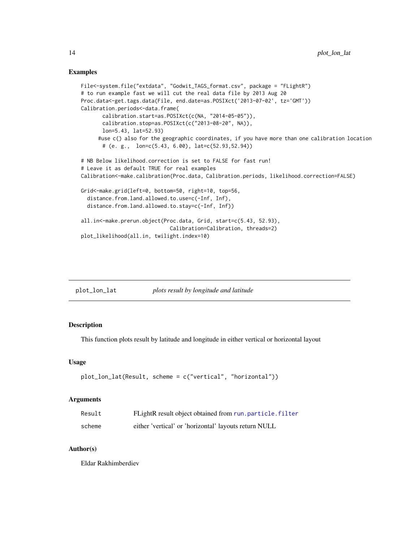# Examples

```
File<-system.file("extdata", "Godwit_TAGS_format.csv", package = "FLightR")
# to run example fast we will cut the real data file by 2013 Aug 20
Proc.data<-get.tags.data(File, end.date=as.POSIXct('2013-07-02', tz='GMT'))
Calibration.periods<-data.frame(
       calibration.start=as.POSIXct(c(NA, "2014-05-05")),
       calibration.stop=as.POSIXct(c("2013-08-20", NA)),
       lon=5.43, lat=52.93)
     #use c() also for the geographic coordinates, if you have more than one calibration location
       # (e. g., lon=c(5.43, 6.00), lat=c(52.93,52.94))
# NB Below likelihood.correction is set to FALSE for fast run!
# Leave it as default TRUE for real examples
Calibration<-make.calibration(Proc.data, Calibration.periods, likelihood.correction=FALSE)
Grid<-make.grid(left=0, bottom=50, right=10, top=56,
  distance.from.land.allowed.to.use=c(-Inf, Inf),
  distance.from.land.allowed.to.stay=c(-Inf, Inf))
all.in<-make.prerun.object(Proc.data, Grid, start=c(5.43, 52.93),
                             Calibration=Calibration, threads=2)
plot_likelihood(all.in, twilight.index=10)
```

| plot_lon_lat | plots result by longitude and latitude |
|--------------|----------------------------------------|
|              |                                        |

# Description

This function plots result by latitude and longitude in either vertical or horizontal layout

#### Usage

```
plot_lon_lat(Result, scheme = c("vertical", "horizontal"))
```
# Arguments

| Result | FLightR result object obtained from run, particle, filter |
|--------|-----------------------------------------------------------|
| scheme | either 'vertical' or 'horizontal' layouts return NULL     |

# Author(s)

<span id="page-13-0"></span>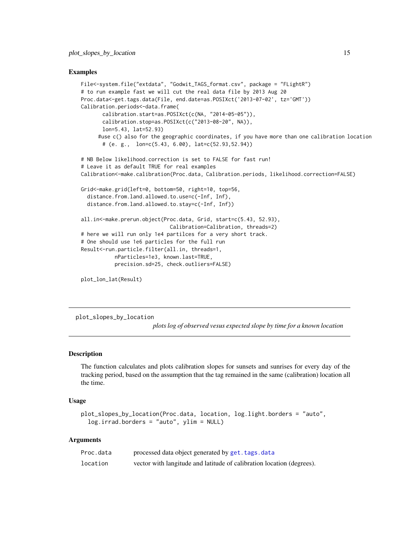# <span id="page-14-0"></span>Examples

```
File<-system.file("extdata", "Godwit_TAGS_format.csv", package = "FLightR")
# to run example fast we will cut the real data file by 2013 Aug 20
Proc.data<-get.tags.data(File, end.date=as.POSIXct('2013-07-02', tz='GMT'))
Calibration.periods<-data.frame(
       calibration.start=as.POSIXct(c(NA, "2014-05-05")),
       calibration.stop=as.POSIXct(c("2013-08-20", NA)),
       lon=5.43, lat=52.93)
     #use c() also for the geographic coordinates, if you have more than one calibration location
       # (e. g., lon=c(5.43, 6.00), lat=c(52.93,52.94))
# NB Below likelihood.correction is set to FALSE for fast run!
# Leave it as default TRUE for real examples
Calibration<-make.calibration(Proc.data, Calibration.periods, likelihood.correction=FALSE)
Grid<-make.grid(left=0, bottom=50, right=10, top=56,
  distance.from.land.allowed.to.use=c(-Inf, Inf),
  distance.from.land.allowed.to.stay=c(-Inf, Inf))
all.in<-make.prerun.object(Proc.data, Grid, start=c(5.43, 52.93),
                             Calibration=Calibration, threads=2)
# here we will run only 1e4 partilces for a very short track.
# One should use 1e6 particles for the full run
Result<-run.particle.filter(all.in, threads=1,
           nParticles=1e3, known.last=TRUE,
           precision.sd=25, check.outliers=FALSE)
```
plot\_lon\_lat(Result)

plot\_slopes\_by\_location

*plots log of observed vesus expected slope by time for a known location*

# Description

The function calculates and plots calibration slopes for sunsets and sunrises for every day of the tracking period, based on the assumption that the tag remained in the same (calibration) location all the time.

#### Usage

```
plot_slopes_by_location(Proc.data, location, log.light.borders = "auto",
  log.irrad.borders = "auto", ylim = NULL)
```

| Proc.data | processed data object generated by get. tags. data                    |
|-----------|-----------------------------------------------------------------------|
| location  | vector with langitude and latitude of calibration location (degrees). |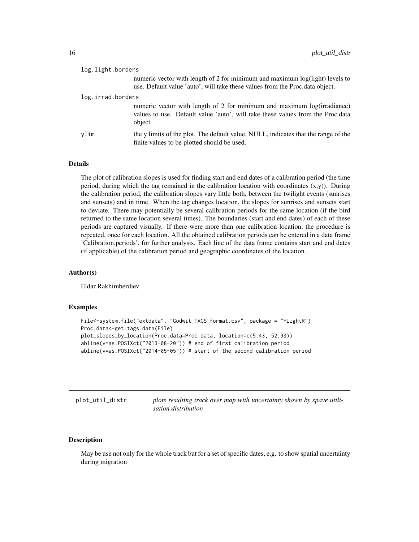<span id="page-15-0"></span>

| log.light.borders |                                                                                                                                                                      |
|-------------------|----------------------------------------------------------------------------------------------------------------------------------------------------------------------|
|                   | numeric vector with length of 2 for minimum and maximum log(light) levels to<br>use. Default value 'auto', will take these values from the Proc.data object.         |
| log.irrad.borders |                                                                                                                                                                      |
|                   | numeric vector with length of 2 for minimum and maximum log(irradiance)<br>values to use. Default value 'auto', will take these values from the Proc.data<br>object. |
| vlim              | the y limits of the plot. The default value, NULL, indicates that the range of the<br>finite values to be plotted should be used.                                    |

# **Details**

The plot of calibration slopes is used for finding start and end dates of a calibration period (the time period, during which the tag remained in the calibration location with coordinates  $(x,y)$ ). During the calibration period, the calibration slopes vary little both, between the twilight events (sunrises and sunsets) and in time. When the tag changes location, the slopes for sunrises and sunsets start to deviate. There may potentially be several calibration periods for the same location (if the bird returned to the same location several times). The boundaries (start and end dates) of each of these periods are captured visually. If there were more than one calibration location, the procedure is repeated, once for each location. All the obtained calibration periods can be entered in a data frame 'Calibration.periods', for further analysis. Each line of the data frame contains start and end dates (if applicable) of the calibration period and geographic coordinates of the location.

# Author(s)

Eldar Rakhimberdiev

# Examples

```
File<-system.file("extdata", "Godwit_TAGS_format.csv", package = "FLightR")
Proc.data<-get.tags.data(File)
plot_slopes_by_location(Proc.data=Proc.data, location=c(5.43, 52.93))
abline(v=as.POSIXct("2013-08-20")) # end of first calibration period
abline(v=as.POSIXct("2014-05-05")) # start of the second calibration period
```

| plot_util_distr | plots resulting track over map with uncertainty shown by spave utili- |
|-----------------|-----------------------------------------------------------------------|
|                 | sation distribution                                                   |

# Description

May be use not only for the whole track but for a set of specific dates, e.g. to show spatial uncertainty during migration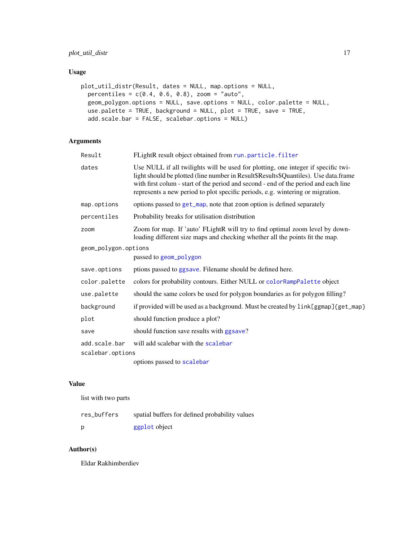# <span id="page-16-0"></span>plot\_util\_distr 17

# Usage

```
plot_util_distr(Result, dates = NULL, map.options = NULL,
 percentiles = c(0.4, 0.6, 0.8), zoom = "auto",
 geom_polygon.options = NULL, save.options = NULL, color.palette = NULL,
 use.palette = TRUE, background = NULL, plot = TRUE, save = TRUE,
  add.scale.bar = FALSE, scalebar.options = NULL)
```
# Arguments

| Result               | FLightR result object obtained from run.particle.filter                                                                                                                                                                                                                                                                                           |  |
|----------------------|---------------------------------------------------------------------------------------------------------------------------------------------------------------------------------------------------------------------------------------------------------------------------------------------------------------------------------------------------|--|
| dates                | Use NULL if all twilights will be used for plotting, one integer if specific twi-<br>light should be plotted (line number in Result\$Results\$Quantiles). Use data.frame<br>with first colum - start of the period and second - end of the period and each line<br>represents a new period to plot specific periods, e.g. wintering or migration. |  |
| map.options          | options passed to get_map, note that zoom option is defined separately                                                                                                                                                                                                                                                                            |  |
| percentiles          | Probability breaks for utilisation distribution                                                                                                                                                                                                                                                                                                   |  |
| zoom                 | Zoom for map. If 'auto' FLightR will try to find optimal zoom level by down-<br>loading different size maps and checking whether all the points fit the map.                                                                                                                                                                                      |  |
| geom_polygon.options |                                                                                                                                                                                                                                                                                                                                                   |  |
|                      | passed to geom_polygon                                                                                                                                                                                                                                                                                                                            |  |
| save.options         | ptions passed to ggsave. Filename should be defined here.                                                                                                                                                                                                                                                                                         |  |
| color.palette        | colors for probability contours. Either NULL or colorRampPalette object                                                                                                                                                                                                                                                                           |  |
| use.palette          | should the same colors be used for polygon boundaries as for polygon filling?                                                                                                                                                                                                                                                                     |  |
| background           | if provided will be used as a background. Must be created by $link[ggmap]{get\_map}$                                                                                                                                                                                                                                                              |  |
| plot                 | should function produce a plot?                                                                                                                                                                                                                                                                                                                   |  |
| save                 | should function save results with ggsave?                                                                                                                                                                                                                                                                                                         |  |
| add.scale.bar        | will add scalebar with the scalebar                                                                                                                                                                                                                                                                                                               |  |
| scalebar.options     |                                                                                                                                                                                                                                                                                                                                                   |  |
|                      | options passed to scalebar                                                                                                                                                                                                                                                                                                                        |  |

# Value

list with two parts

| res_buffers | spatial buffers for defined probability values |
|-------------|------------------------------------------------|
| D           | ggplot object                                  |

# Author(s)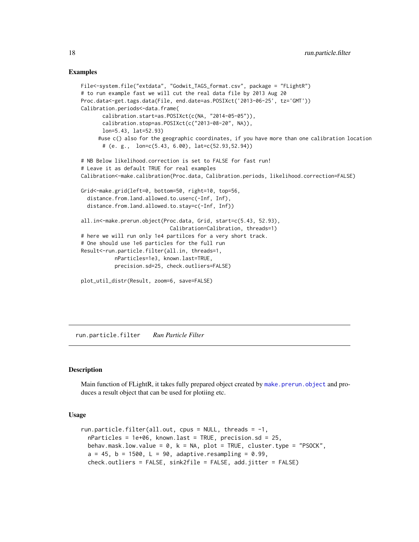# Examples

```
File<-system.file("extdata", "Godwit_TAGS_format.csv", package = "FLightR")
# to run example fast we will cut the real data file by 2013 Aug 20
Proc.data<-get.tags.data(File, end.date=as.POSIXct('2013-06-25', tz='GMT'))
Calibration.periods<-data.frame(
       calibration.start=as.POSIXct(c(NA, "2014-05-05")),
       calibration.stop=as.POSIXct(c("2013-08-20", NA)),
       lon=5.43, lat=52.93)
     #use c() also for the geographic coordinates, if you have more than one calibration location
       # (e. g., lon=c(5.43, 6.00), lat=c(52.93,52.94))
# NB Below likelihood.correction is set to FALSE for fast run!
# Leave it as default TRUE for real examples
Calibration<-make.calibration(Proc.data, Calibration.periods, likelihood.correction=FALSE)
Grid<-make.grid(left=0, bottom=50, right=10, top=56,
  distance.from.land.allowed.to.use=c(-Inf, Inf),
  distance.from.land.allowed.to.stay=c(-Inf, Inf))
all.in<-make.prerun.object(Proc.data, Grid, start=c(5.43, 52.93),
                             Calibration=Calibration, threads=1)
# here we will run only 1e4 partilces for a very short track.
# One should use 1e6 particles for the full run
Result<-run.particle.filter(all.in, threads=1,
           nParticles=1e3, known.last=TRUE,
           precision.sd=25, check.outliers=FALSE)
plot_util_distr(Result, zoom=6, save=FALSE)
```
<span id="page-17-1"></span>run.particle.filter *Run Particle Filter*

# **Description**

Main function of FLightR, it takes fully prepared object created by [make.prerun.object](#page-9-1) and produces a result object that can be used for plotiing etc.

#### Usage

```
run.particle.filter(all.out, cpus = NULL, threads = -1,
 nParticles = 1e+06, known.last = TRUE, precision.sd = 25,
 behav.mask.low.value = \theta, k = NA, plot = TRUE, cluster.type = "PSOCK",
  a = 45, b = 1500, L = 90, adaptive.resampling = 0.99,
  check.outliers = FALSE, sink2file = FALSE, add.jitter = FALSE)
```
<span id="page-17-0"></span>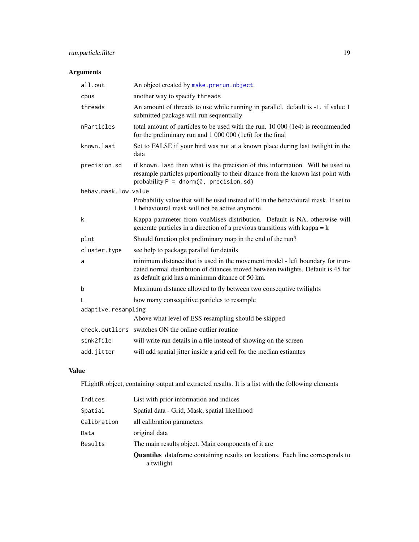# <span id="page-18-0"></span>Arguments

| all.out              | An object created by make.prerun.object.                                                                                                                                                                                      |  |
|----------------------|-------------------------------------------------------------------------------------------------------------------------------------------------------------------------------------------------------------------------------|--|
| cpus                 | another way to specify threads                                                                                                                                                                                                |  |
| threads              | An amount of threads to use while running in parallel. default is -1. if value 1<br>submitted package will run sequentially                                                                                                   |  |
| nParticles           | total amount of particles to be used with the run. 10 000 (1e4) is recommended<br>for the preliminary run and 1 000 000 (1e6) for the final                                                                                   |  |
| known.last           | Set to FALSE if your bird was not at a known place during last twilight in the<br>data                                                                                                                                        |  |
| precision.sd         | if known. Last then what is the precision of this information. Will be used to<br>resample particles prportionally to their ditance from the known last point with<br>probability $P = \text{dnorm}(\emptyset, precision.sd)$ |  |
| behav.mask.low.value |                                                                                                                                                                                                                               |  |
|                      | Probability value that will be used instead of 0 in the behavioural mask. If set to<br>1 behavioural mask will not be active anymore                                                                                          |  |
| k                    | Kappa parameter from vonMises distribution. Default is NA, otherwise will<br>generate particles in a direction of a previous transitions with kappa $= k$                                                                     |  |
| plot                 | Should function plot preliminary map in the end of the run?                                                                                                                                                                   |  |
| cluster.type         | see help to package parallel for details                                                                                                                                                                                      |  |
| a                    | minimum distance that is used in the movement model - left boundary for trun-<br>cated normal distribtuon of ditances moved between twilights. Default is 45 for<br>as default grid has a minimum ditance of 50 km.           |  |
| b                    | Maximum distance allowed to fly between two consequive twilights                                                                                                                                                              |  |
| L                    | how many consequitive particles to resample                                                                                                                                                                                   |  |
| adaptive.resampling  |                                                                                                                                                                                                                               |  |
|                      | Above what level of ESS resampling should be skipped                                                                                                                                                                          |  |
|                      | check.outliers switches ON the online outlier routine                                                                                                                                                                         |  |
| sink2file            | will write run details in a file instead of showing on the screen                                                                                                                                                             |  |
| add.jitter           | will add spatial jitter inside a grid cell for the median estiamtes                                                                                                                                                           |  |

# Value

FLightR object, containing output and extracted results. It is a list with the following elements

| Indices     | List with prior information and indices                                                            |
|-------------|----------------------------------------------------------------------------------------------------|
| Spatial     | Spatial data - Grid, Mask, spatial likelihood                                                      |
| Calibration | all calibration parameters                                                                         |
| Data        | original data                                                                                      |
| Results     | The main results object. Main components of it are                                                 |
|             | <b>Quantiles</b> dataframe containing results on locations. Each line corresponds to<br>a twilight |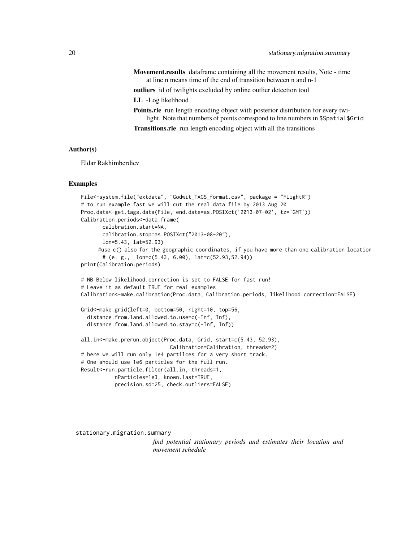<span id="page-19-0"></span>Movement.results dataframe containing all the movement results, Note - time at line n means time of the end of transition between n and n-1

outliers id of twilights excluded by online outlier detection tool

LL -Log likelihood

Points.rle run length encoding object with posterior distribution for every twilight. Note that numbers of points correspond to line numbers in \$Spatial\$Grid Transitions.rle run length encoding object with all the transitions

# Author(s)

Eldar Rakhimberdiev

# Examples

```
File<-system.file("extdata", "Godwit_TAGS_format.csv", package = "FLightR")
# to run example fast we will cut the real data file by 2013 Aug 20
Proc.data<-get.tags.data(File, end.date=as.POSIXct('2013-07-02', tz='GMT'))
Calibration.periods<-data.frame(
      calibration.start=NA,
      calibration.stop=as.POSIXct("2013-08-20"),
      lon=5.43, lat=52.93)
     #use c() also for the geographic coordinates, if you have more than one calibration location
      # (e. g., lon=c(5.43, 6.00), lat=c(52.93,52.94))
print(Calibration.periods)
# NB Below likelihood.correction is set to FALSE for fast run!
# Leave it as default TRUE for real examples
Calibration<-make.calibration(Proc.data, Calibration.periods, likelihood.correction=FALSE)
Grid<-make.grid(left=0, bottom=50, right=10, top=56,
 distance.from.land.allowed.to.use=c(-Inf, Inf),
 distance.from.land.allowed.to.stay=c(-Inf, Inf))
all.in<-make.prerun.object(Proc.data, Grid, start=c(5.43, 52.93),
                             Calibration=Calibration, threads=2)
# here we will run only 1e4 partilces for a very short track.
# One should use 1e6 particles for the full run.
Result<-run.particle.filter(all.in, threads=1,
           nParticles=1e3, known.last=TRUE,
           precision.sd=25, check.outliers=FALSE)
```
stationary.migration.summary

*find potential stationary periods and estimates their location and movement schedule*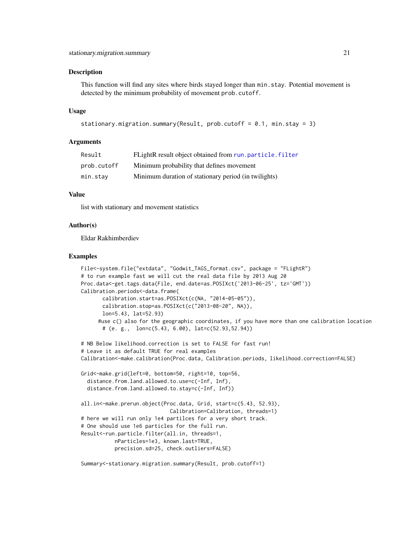# <span id="page-20-0"></span>Description

This function will find any sites where birds stayed longer than min.stay. Potential movement is detected by the minimum probability of movement prob.cutoff.

# Usage

```
stationary.migration.summary(Result, prob.cutoff = 0.1, min.stay = 3)
```
# Arguments

| Result      | FLightR result object obtained from run, particle, filter |
|-------------|-----------------------------------------------------------|
| prob.cutoff | Minimum probability that defines movement                 |
| min.stay    | Minimum duration of stationary period (in twilights)      |

# Value

list with stationary and movement statistics

# Author(s)

Eldar Rakhimberdiev

#### Examples

```
File<-system.file("extdata", "Godwit_TAGS_format.csv", package = "FLightR")
# to run example fast we will cut the real data file by 2013 Aug 20
Proc.data<-get.tags.data(File, end.date=as.POSIXct('2013-06-25', tz='GMT'))
Calibration.periods<-data.frame(
       calibration.start=as.POSIXct(c(NA, "2014-05-05")),
       calibration.stop=as.POSIXct(c("2013-08-20", NA)),
       lon=5.43, lat=52.93)
     #use c() also for the geographic coordinates, if you have more than one calibration location
       # (e. g., lon=c(5.43, 6.00), lat=c(52.93,52.94))
# NB Below likelihood.correction is set to FALSE for fast run!
# Leave it as default TRUE for real examples
Calibration<-make.calibration(Proc.data, Calibration.periods, likelihood.correction=FALSE)
Grid<-make.grid(left=0, bottom=50, right=10, top=56,
  distance.from.land.allowed.to.use=c(-Inf, Inf),
  distance.from.land.allowed.to.stay=c(-Inf, Inf))
all.in<-make.prerun.object(Proc.data, Grid, start=c(5.43, 52.93),
                             Calibration=Calibration, threads=1)
# here we will run only 1e4 partilces for a very short track.
# One should use 1e6 particles for the full run.
Result<-run.particle.filter(all.in, threads=1,
           nParticles=1e3, known.last=TRUE,
           precision.sd=25, check.outliers=FALSE)
```
Summary<-stationary.migration.summary(Result, prob.cutoff=1)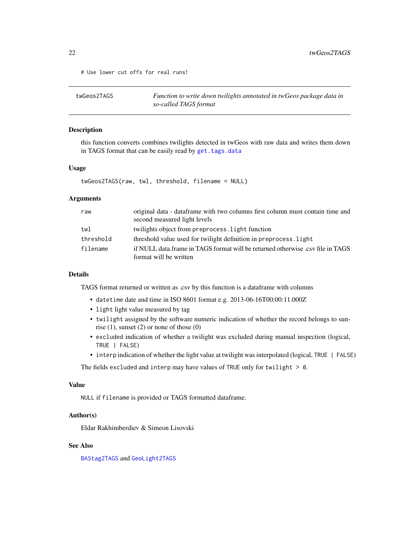<span id="page-21-0"></span># Use lower cut offs for real runs!

<span id="page-21-1"></span>

| twGeos2TAGS | Function to write down twilights annotated in twGeos package data in |
|-------------|----------------------------------------------------------------------|
|             | so-called TAGS format                                                |

# Description

this function converts combines twilights detected in twGeos with raw data and writes them down in TAGS format that can be easily read by [get.tags.data](#page-5-1)

# Usage

twGeos2TAGS(raw, twl, threshold, filename = NULL)

# **Arguments**

| raw       | original data - data frame with two columns first column must contain time and<br>second measured light levels |
|-----------|----------------------------------------------------------------------------------------------------------------|
| twl       | twilights object from preprocess. Light function                                                               |
| threshold | threshold value used for twilight definition in preprocess. light                                              |
| filename  | if NULL data frame in TAGS format will be returned otherwise .csy file in TAGS                                 |
|           | format will be written                                                                                         |

# Details

TAGS format returned or written as .csv by this function is a dataframe with columns

- datetime date and time in ISO 8601 format e.g. 2013-06-16T00:00:11.000Z
- light light value measured by tag
- twilight assigned by the software numeric indication of whether the record belongs to sunrise (1), sunset (2) or none of those (0)
- excluded indication of whether a twilight was excluded during manual inspection (logical, TRUE | FALSE)
- interp indication of whether the light value at twilight was interpolated (logical, TRUE | FALSE)

The fields excluded and interp may have values of TRUE only for twilight  $> 0$ .

#### Value

NULL if filename is provided or TAGS formatted dataframe.

### Author(s)

Eldar Rakhimberdiev & Simeon Lisovski

# See Also

[BAStag2TAGS](#page-1-1) and [GeoLight2TAGS](#page-4-1)